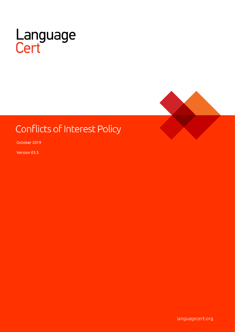



# Conflicts of Interest Policy

October 2019

Version 03.5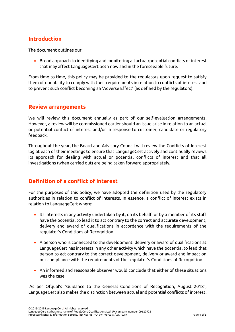# **Introduction**

The document outlines our:

• Broad approach to identifying and monitoring all actual/potential conflicts of interest that may affect LanguageCert both now and in the foreseeable future.

From time-to-time, this policy may be provided to the regulators upon request to satisfy them of our ability to comply with their requirements in relation to conflicts of interest and to prevent such conflict becoming an 'Adverse Effect' (as defined by the regulators).

## **Review arrangements**

We will review this document annually as part of our self-evaluation arrangements. However, a review will be commissioned earlier should an issue arise in relation to an actual or potential conflict of interest and/or in response to customer, candidate or regulatory feedback.

Throughout the year, the Board and Advisory Council will review the Conflicts of Interest log at each of their meetings to ensure that LanguageCert actively and continually reviews its approach for dealing with actual or potential conflicts of interest and that all investigations (when carried out) are being taken forward appropriately.

# **Definition of a conflict of interest**

For the purposes of this policy, we have adopted the definition used by the regulatory authorities in relation to conflict of interests. In essence, a conflict of interest exists in relation to LanguageCert where:

- Its interests in any activity undertaken by it, on its behalf, or by a member of its staff have the potential to lead it to act contrary to the correct and accurate development, delivery and award of qualifications in accordance with the requirements of the regulator's Conditions of Recognition.
- A person who is connected to the development, delivery or award of qualifications at LanguageCert has interests in any other activity which have the potential to lead that person to act contrary to the correct development, delivery or award and impact on our compliance with the requirements of the regulator's Conditions of Recognition.
- An informed and reasonable observer would conclude that either of these situations was the case.

As per Ofqual's "Guidance to the General Conditions of Recognition, August 2018", LanguageCert also makes the distinction between actual and potential conflicts of interest.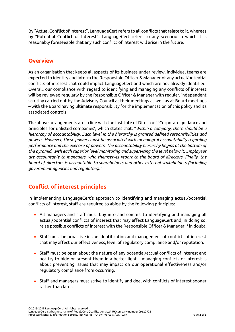By "Actual Conflict of Interest", LanguageCert refers to all conflicts that relate to it, whereas by "Potential Conflict of Interest", LanguageCert refers to any scenario in which it is reasonably foreseeable that any such conflict of interest will arise in the future.

## **Overview**

As an organisation that keeps all aspects of its business under review, individual teams are expected to identify and inform the Responsible Officer & Manager of any actual/potential conflicts of interest that could impact LanguageCert and which are not already identified. Overall, our compliance with regard to identifying and managing any conflicts of interest will be reviewed regularly by the Responsible Officer & Manager with regular, independent scrutiny carried out by the Advisory Council at their meetings as well as at Board meetings – with the Board having ultimate responsibility for the implementation of this policy and its associated controls.

The above arrangements are in line with the Institute of Directors' 'Corporate guidance and principles for unlisted companies', which states that: "*Within a company, there should be a hierarchy of accountability. Each level in the hierarchy is granted defined responsibilities and powers. However, these powers must be associated with meaningful accountability regarding performance and the exercise of powers. The accountability hierarchy begins at the bottom of the pyramid, with each superior level monitoring and supervising the level below it. Employees are accountable to managers, who themselves report to the board of directors. Finally, the board of directors is accountable to shareholders and other external stakeholders (including government agencies and regulators)."*

# **Conflict of interest principles**

In implementing LanguageCert's approach to identifying and managing actual/potential conflicts of interest, staff are required to abide by the following principles:

- All managers and staff must buy into and commit to identifying and managing all actual/potential conflicts of interest that may affect LanguageCert and, in doing so, raise possible conflicts of interest with the Responsible Officer & Manager if in doubt.
- Staff must be proactive in the identification and management of conflicts of interest that may affect our effectiveness, level of regulatory compliance and/or reputation.
- Staff must be open about the nature of any potential/actual conflicts of interest and not try to hide or present them in a better light – managing conflicts of interest is about preventing issues that may impact on our operational effectiveness and/or regulatory compliance from occurring.
- Staff and managers must strive to identify and deal with conflicts of interest sooner rather than later.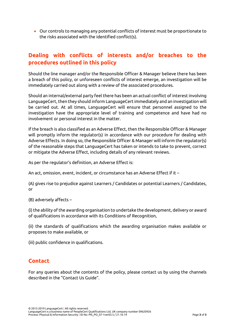• Our controls to managing any potential conflicts of interest must be proportionate to the risks associated with the identified conflict(s).

# **Dealing with conflicts of interests and/or breaches to the procedures outlined in this policy**

Should the line manager and/or the Responsible Officer & Manager believe there has been a breach of this policy, or unforeseen conflicts of interest emerge, an investigation will be immediately carried out along with a review of the associated procedures.

Should an internal/external party feel there has been an actual conflict of interest involving LanguageCert, then they should inform LanguageCert immediately and an investigation will be carried out. At all times, LanguageCert will ensure that personnel assigned to the investigation have the appropriate level of training and competence and have had no involvement or personal interest in the matter.

If the breach is also classified as an Adverse Effect, then the Responsible Officer & Manager will promptly inform the regulator(s) in accordance with our procedure for dealing with Adverse Effects. In doing so, the Responsible Officer & Manager will inform the regulator(s) of the reasonable steps that LanguageCert has taken or intends to take to prevent, correct or mitigate the Adverse Effect, including details of any relevant reviews.

As per the regulator's definition, an Adverse Effect is:

An act, omission, event, incident, or circumstance has an Adverse Effect if it –

(A) gives rise to prejudice against Learners / Candidates or potential Learners / Candidates, or

(B) adversely affects –

(i) the ability of the awarding organisation to undertake the development, delivery or award of qualifications in accordance with its Conditions of Recognition,

(ii) the standards of qualifications which the awarding organisation makes available or proposes to make available, or

(iii) public confidence in qualifications.

# **Contact**

For any queries about the contents of the policy, please contact us by using the channels described in the "Contact Us Guide".